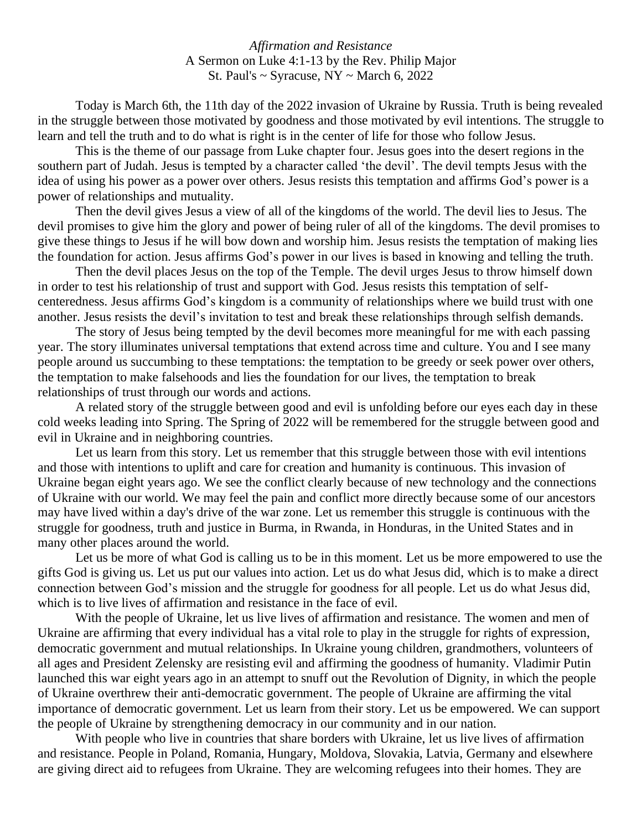*Affirmation and Resistance* A Sermon on Luke 4:1-13 by the Rev. Philip Major St. Paul's  $\sim$  Syracuse, NY  $\sim$  March 6, 2022

Today is March 6th, the 11th day of the 2022 invasion of Ukraine by Russia. Truth is being revealed in the struggle between those motivated by goodness and those motivated by evil intentions. The struggle to learn and tell the truth and to do what is right is in the center of life for those who follow Jesus.

This is the theme of our passage from Luke chapter four. Jesus goes into the desert regions in the southern part of Judah. Jesus is tempted by a character called 'the devil'. The devil tempts Jesus with the idea of using his power as a power over others. Jesus resists this temptation and affirms God's power is a power of relationships and mutuality.

Then the devil gives Jesus a view of all of the kingdoms of the world. The devil lies to Jesus. The devil promises to give him the glory and power of being ruler of all of the kingdoms. The devil promises to give these things to Jesus if he will bow down and worship him. Jesus resists the temptation of making lies the foundation for action. Jesus affirms God's power in our lives is based in knowing and telling the truth.

Then the devil places Jesus on the top of the Temple. The devil urges Jesus to throw himself down in order to test his relationship of trust and support with God. Jesus resists this temptation of selfcenteredness. Jesus affirms God's kingdom is a community of relationships where we build trust with one another. Jesus resists the devil's invitation to test and break these relationships through selfish demands.

The story of Jesus being tempted by the devil becomes more meaningful for me with each passing year. The story illuminates universal temptations that extend across time and culture. You and I see many people around us succumbing to these temptations: the temptation to be greedy or seek power over others, the temptation to make falsehoods and lies the foundation for our lives, the temptation to break relationships of trust through our words and actions.

A related story of the struggle between good and evil is unfolding before our eyes each day in these cold weeks leading into Spring. The Spring of 2022 will be remembered for the struggle between good and evil in Ukraine and in neighboring countries.

Let us learn from this story. Let us remember that this struggle between those with evil intentions and those with intentions to uplift and care for creation and humanity is continuous. This invasion of Ukraine began eight years ago. We see the conflict clearly because of new technology and the connections of Ukraine with our world. We may feel the pain and conflict more directly because some of our ancestors may have lived within a day's drive of the war zone. Let us remember this struggle is continuous with the struggle for goodness, truth and justice in Burma, in Rwanda, in Honduras, in the United States and in many other places around the world.

Let us be more of what God is calling us to be in this moment. Let us be more empowered to use the gifts God is giving us. Let us put our values into action. Let us do what Jesus did, which is to make a direct connection between God's mission and the struggle for goodness for all people. Let us do what Jesus did, which is to live lives of affirmation and resistance in the face of evil.

With the people of Ukraine, let us live lives of affirmation and resistance. The women and men of Ukraine are affirming that every individual has a vital role to play in the struggle for rights of expression, democratic government and mutual relationships. In Ukraine young children, grandmothers, volunteers of all ages and President Zelensky are resisting evil and affirming the goodness of humanity. Vladimir Putin launched this war eight years ago in an attempt to snuff out the Revolution of Dignity, in which the people of Ukraine overthrew their anti-democratic government. The people of Ukraine are affirming the vital importance of democratic government. Let us learn from their story. Let us be empowered. We can support the people of Ukraine by strengthening democracy in our community and in our nation.

With people who live in countries that share borders with Ukraine, let us live lives of affirmation and resistance. People in Poland, Romania, Hungary, Moldova, Slovakia, Latvia, Germany and elsewhere are giving direct aid to refugees from Ukraine. They are welcoming refugees into their homes. They are